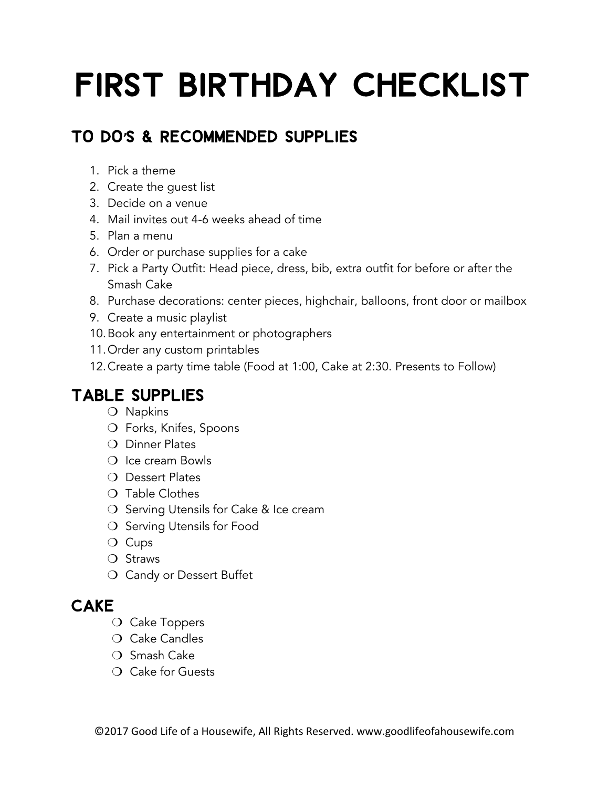# First Birthday Checklist

### To Do**'**s & Recommended Supplies

- 1. Pick a theme
- 2. Create the guest list
- 3. Decide on a venue
- 4. Mail invites out 4-6 weeks ahead of time
- 5. Plan a menu
- 6. Order or purchase supplies for a cake
- 7. Pick a Party Outfit: Head piece, dress, bib, extra outfit for before or after the Smash Cake
- 8. Purchase decorations: center pieces, highchair, balloons, front door or mailbox
- 9. Create a music playlist
- 10.Book any entertainment or photographers
- 11.Order any custom printables
- 12.Create a party time table (Food at 1:00, Cake at 2:30. Presents to Follow)

### Table Supplies

- ❍ Napkins
- ❍ Forks, Knifes, Spoons
- O Dinner Plates
- ❍ Ice cream Bowls
- O Dessert Plates
- ❍ Table Clothes
- ❍ Serving Utensils for Cake & Ice cream
- ❍ Serving Utensils for Food
- ❍ Cups
- ❍ Straws
- ❍ Candy or Dessert Buffet

### **CAKE**

- ❍ Cake Toppers
- ❍ Cake Candles
- ❍ Smash Cake
- ❍ Cake for Guests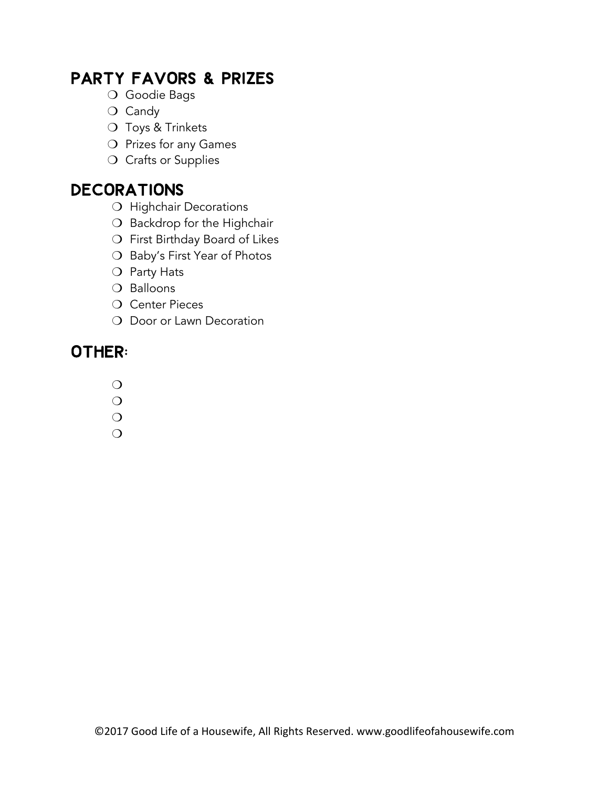### Party Favors & Prizes

- ❍ Goodie Bags
- ❍ Candy
- O Toys & Trinkets
- ❍ Prizes for any Games
- O Crafts or Supplies

### Decorations

- O Highchair Decorations
- O Backdrop for the Highchair
- ❍ First Birthday Board of Likes
- O Baby's First Year of Photos
- O Party Hats
- O Balloons
- O Center Pieces
- O Door or Lawn Decoration

### OTHER:

- $\overline{O}$
- $\overline{O}$
- $\bigcirc$
- $\Omega$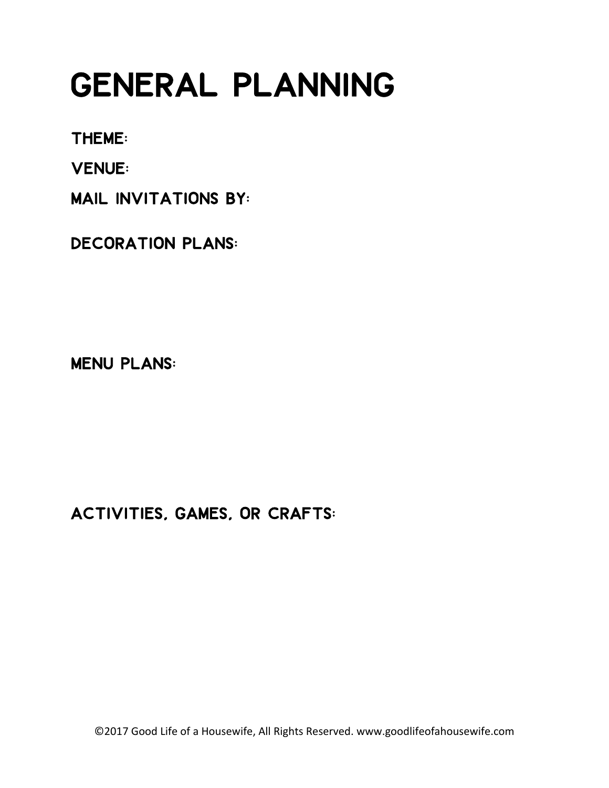## General Planning

Theme:

Venue:

Mail Invitations by:

Decoration Plans:

Menu Plans:

Activities, Games, or Crafts:

©2017 Good Life of a Housewife, All Rights Reserved. www.goodlifeofahousewife.com